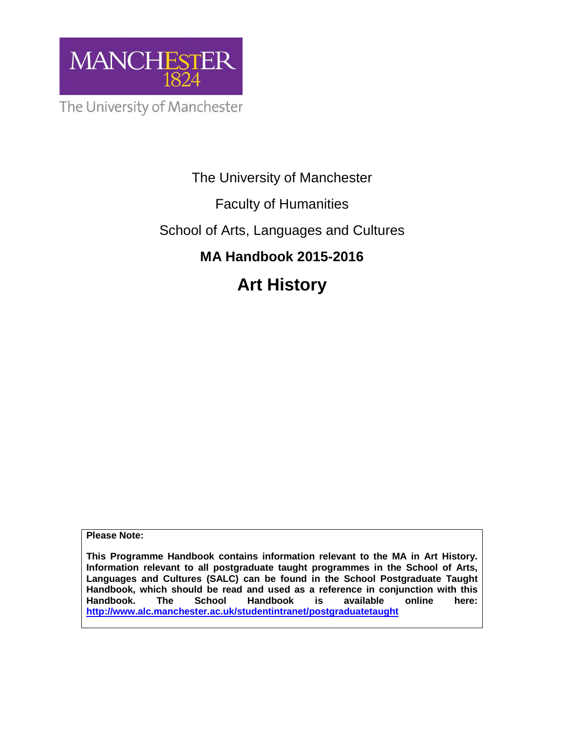

The University of Manchester

# Faculty of Humanities

# School of Arts, Languages and Cultures

# **MA Handbook 2015-2016**

# **Art History**

**Please Note:** 

**This Programme Handbook contains information relevant to the MA in Art History. Information relevant to all postgraduate taught programmes in the School of Arts, Languages and Cultures (SALC) can be found in the School Postgraduate Taught Handbook, which should be read and used as a reference in conjunction with this Handbook. The School Handbook is available online here: http://www.alc.manchester.ac.uk/studentintranet/postgraduatetaught**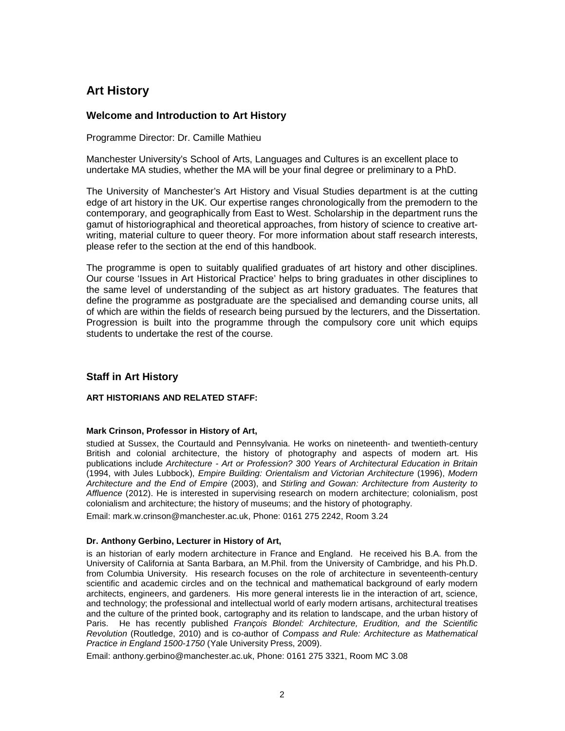# **Art History**

# **Welcome and Introduction to Art History**

Programme Director: Dr. Camille Mathieu

Manchester University's School of Arts, Languages and Cultures is an excellent place to undertake MA studies, whether the MA will be your final degree or preliminary to a PhD.

The University of Manchester's Art History and Visual Studies department is at the cutting edge of art history in the UK. Our expertise ranges chronologically from the premodern to the contemporary, and geographically from East to West. Scholarship in the department runs the gamut of historiographical and theoretical approaches, from history of science to creative artwriting, material culture to queer theory. For more information about staff research interests, please refer to the section at the end of this handbook.

The programme is open to suitably qualified graduates of art history and other disciplines. Our course 'Issues in Art Historical Practice' helps to bring graduates in other disciplines to the same level of understanding of the subject as art history graduates. The features that define the programme as postgraduate are the specialised and demanding course units, all of which are within the fields of research being pursued by the lecturers, and the Dissertation. Progression is built into the programme through the compulsory core unit which equips students to undertake the rest of the course.

# **Staff in Art History**

## **ART HISTORIANS AND RELATED STAFF:**

## **Mark Crinson, Professor in History of Art,**

studied at Sussex, the Courtauld and Pennsylvania. He works on nineteenth- and twentieth-century British and colonial architecture, the history of photography and aspects of modern art. His publications include Architecture - Art or Profession? 300 Years of Architectural Education in Britain (1994, with Jules Lubbock), Empire Building: Orientalism and Victorian Architecture (1996), Modern Architecture and the End of Empire (2003), and Stirling and Gowan: Architecture from Austerity to Affluence (2012). He is interested in supervising research on modern architecture; colonialism, post colonialism and architecture; the history of museums; and the history of photography.

Email: mark.w.crinson@manchester.ac.uk, Phone: 0161 275 2242, Room 3.24

## **Dr. Anthony Gerbino, Lecturer in History of Art,**

is an historian of early modern architecture in France and England. He received his B.A. from the University of California at Santa Barbara, an M.Phil. from the University of Cambridge, and his Ph.D. from Columbia University. His research focuses on the role of architecture in seventeenth-century scientific and academic circles and on the technical and mathematical background of early modern architects, engineers, and gardeners. His more general interests lie in the interaction of art, science, and technology; the professional and intellectual world of early modern artisans, architectural treatises and the culture of the printed book, cartography and its relation to landscape, and the urban history of Paris. He has recently published François Blondel: Architecture, Erudition, and the Scientific Revolution (Routledge, 2010) and is co-author of Compass and Rule: Architecture as Mathematical Practice in England 1500-1750 (Yale University Press, 2009).

Email: anthony.gerbino@manchester.ac.uk, Phone: 0161 275 3321, Room MC 3.08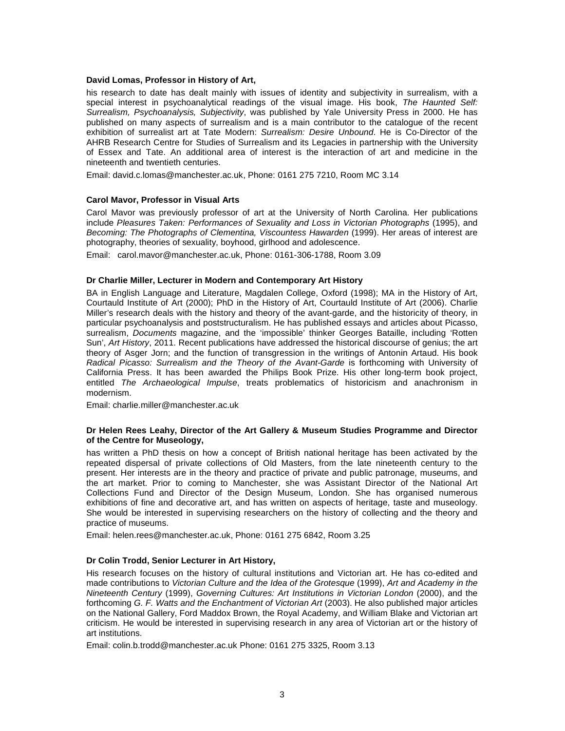#### **David Lomas, Professor in History of Art,**

his research to date has dealt mainly with issues of identity and subjectivity in surrealism, with a special interest in psychoanalytical readings of the visual image. His book, The Haunted Self: Surrealism, Psychoanalysis, Subjectivity, was published by Yale University Press in 2000. He has published on many aspects of surrealism and is a main contributor to the catalogue of the recent exhibition of surrealist art at Tate Modern: Surrealism: Desire Unbound. He is Co-Director of the AHRB Research Centre for Studies of Surrealism and its Legacies in partnership with the University of Essex and Tate. An additional area of interest is the interaction of art and medicine in the nineteenth and twentieth centuries.

Email: david.c.lomas@manchester.ac.uk, Phone: 0161 275 7210, Room MC 3.14

#### **Carol Mavor, Professor in Visual Arts**

Carol Mavor was previously professor of art at the University of North Carolina. Her publications include Pleasures Taken: Performances of Sexuality and Loss in Victorian Photographs (1995), and Becoming: The Photographs of Clementina, Viscountess Hawarden (1999). Her areas of interest are photography, theories of sexuality, boyhood, girlhood and adolescence.

Email: carol.mavor@manchester.ac.uk, Phone: 0161-306-1788, Room 3.09

#### **Dr Charlie Miller, Lecturer in Modern and Contemporary Art History**

BA in English Language and Literature, Magdalen College, Oxford (1998); MA in the History of Art, Courtauld Institute of Art (2000); PhD in the History of Art, Courtauld Institute of Art (2006). Charlie Miller's research deals with the history and theory of the avant-garde, and the historicity of theory, in particular psychoanalysis and poststructuralism. He has published essays and articles about Picasso, surrealism, Documents magazine, and the 'impossible' thinker Georges Bataille, including 'Rotten Sun', Art History, 2011. Recent publications have addressed the historical discourse of genius; the art theory of Asger Jorn; and the function of transgression in the writings of Antonin Artaud. His book Radical Picasso: Surrealism and the Theory of the Avant-Garde is forthcoming with University of California Press. It has been awarded the Philips Book Prize. His other long-term book project, entitled The Archaeological Impulse, treats problematics of historicism and anachronism in modernism.

Email: charlie.miller@manchester.ac.uk

#### **Dr Helen Rees Leahy, Director of the Art Gallery & Museum Studies Programme and Director of the Centre for Museology,**

has written a PhD thesis on how a concept of British national heritage has been activated by the repeated dispersal of private collections of Old Masters, from the late nineteenth century to the present. Her interests are in the theory and practice of private and public patronage, museums, and the art market. Prior to coming to Manchester, she was Assistant Director of the National Art Collections Fund and Director of the Design Museum, London. She has organised numerous exhibitions of fine and decorative art, and has written on aspects of heritage, taste and museology. She would be interested in supervising researchers on the history of collecting and the theory and practice of museums.

Email: helen.rees@manchester.ac.uk, Phone: 0161 275 6842, Room 3.25

#### **Dr Colin Trodd, Senior Lecturer in Art History,**

His research focuses on the history of cultural institutions and Victorian art. He has co-edited and made contributions to Victorian Culture and the Idea of the Grotesque (1999), Art and Academy in the Nineteenth Century (1999), Governing Cultures: Art Institutions in Victorian London (2000), and the forthcoming G. F. Watts and the Enchantment of Victorian Art (2003). He also published major articles on the National Gallery, Ford Maddox Brown, the Royal Academy, and William Blake and Victorian art criticism. He would be interested in supervising research in any area of Victorian art or the history of art institutions.

Email: colin.b.trodd@manchester.ac.uk Phone: 0161 275 3325, Room 3.13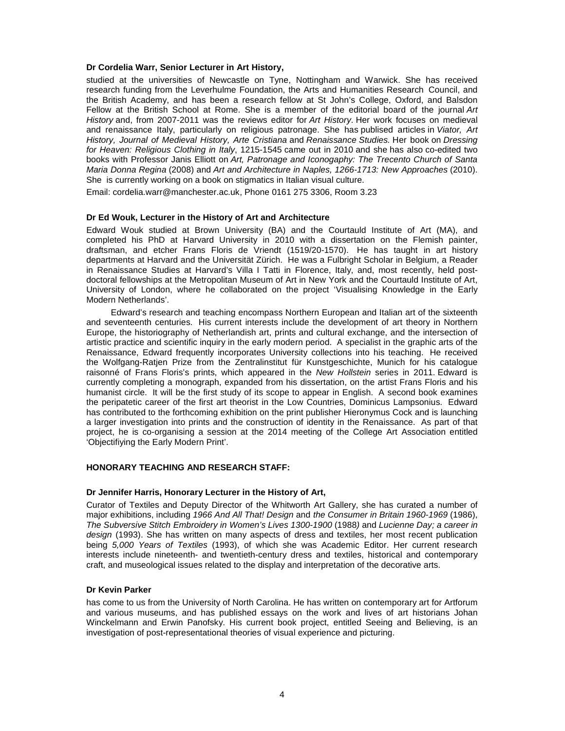#### **Dr Cordelia Warr, Senior Lecturer in Art History,**

studied at the universities of Newcastle on Tyne, Nottingham and Warwick. She has received research funding from the Leverhulme Foundation, the Arts and Humanities Research Council, and the British Academy, and has been a research fellow at St John's College, Oxford, and Balsdon Fellow at the British School at Rome. She is a member of the editorial board of the journal Art History and, from 2007-2011 was the reviews editor for Art History. Her work focuses on medieval and renaissance Italy, particularly on religious patronage. She has publised articles in Viator, Art History, Journal of Medieval History, Arte Cristiana and Renaissance Studies. Her book on Dressing for Heaven: Religious Clothing in Italy, 1215-1545 came out in 2010 and she has also co-edited two books with Professor Janis Elliott on Art, Patronage and Iconogaphy: The Trecento Church of Santa Maria Donna Regina (2008) and Art and Architecture in Naples, 1266-1713: New Approaches (2010). She is currently working on a book on stigmatics in Italian visual culture.

Email: cordelia.warr@manchester.ac.uk, Phone 0161 275 3306, Room 3.23

#### **Dr Ed Wouk, Lecturer in the History of Art and Architecture**

Edward Wouk studied at Brown University (BA) and the Courtauld Institute of Art (MA), and completed his PhD at Harvard University in 2010 with a dissertation on the Flemish painter, draftsman, and etcher Frans Floris de Vriendt (1519/20-1570). He has taught in art history departments at Harvard and the Universität Zürich. He was a Fulbright Scholar in Belgium, a Reader in Renaissance Studies at Harvard's Villa I Tatti in Florence, Italy, and, most recently, held postdoctoral fellowships at the Metropolitan Museum of Art in New York and the Courtauld Institute of Art, University of London, where he collaborated on the project 'Visualising Knowledge in the Early Modern Netherlands'.

Edward's research and teaching encompass Northern European and Italian art of the sixteenth and seventeenth centuries. His current interests include the development of art theory in Northern Europe, the historiography of Netherlandish art, prints and cultural exchange, and the intersection of artistic practice and scientific inquiry in the early modern period. A specialist in the graphic arts of the Renaissance, Edward frequently incorporates University collections into his teaching. He received the Wolfgang-Ratjen Prize from the Zentralinstitut für Kunstgeschichte, Munich for his catalogue raisonné of Frans Floris's prints, which appeared in the New Hollstein series in 2011. Edward is currently completing a monograph, expanded from his dissertation, on the artist Frans Floris and his humanist circle. It will be the first study of its scope to appear in English. A second book examines the peripatetic career of the first art theorist in the Low Countries, Dominicus Lampsonius. Edward has contributed to the forthcoming exhibition on the print publisher Hieronymus Cock and is launching a larger investigation into prints and the construction of identity in the Renaissance. As part of that project, he is co-organising a session at the 2014 meeting of the College Art Association entitled 'Objectifiying the Early Modern Print'.

#### **HONORARY TEACHING AND RESEARCH STAFF:**

#### **Dr Jennifer Harris, Honorary Lecturer in the History of Art,**

Curator of Textiles and Deputy Director of the Whitworth Art Gallery, she has curated a number of major exhibitions, including 1966 And All That! Design and the Consumer in Britain 1960-1969 (1986), The Subversive Stitch Embroidery in Women's Lives 1300-1900 (1988) and Lucienne Day; a career in design (1993). She has written on many aspects of dress and textiles, her most recent publication being 5,000 Years of Textiles (1993), of which she was Academic Editor. Her current research interests include nineteenth- and twentieth-century dress and textiles, historical and contemporary craft, and museological issues related to the display and interpretation of the decorative arts.

#### **Dr Kevin Parker**

has come to us from the University of North Carolina. He has written on contemporary art for Artforum and various museums, and has published essays on the work and lives of art historians Johan Winckelmann and Erwin Panofsky. His current book project, entitled Seeing and Believing, is an investigation of post-representational theories of visual experience and picturing.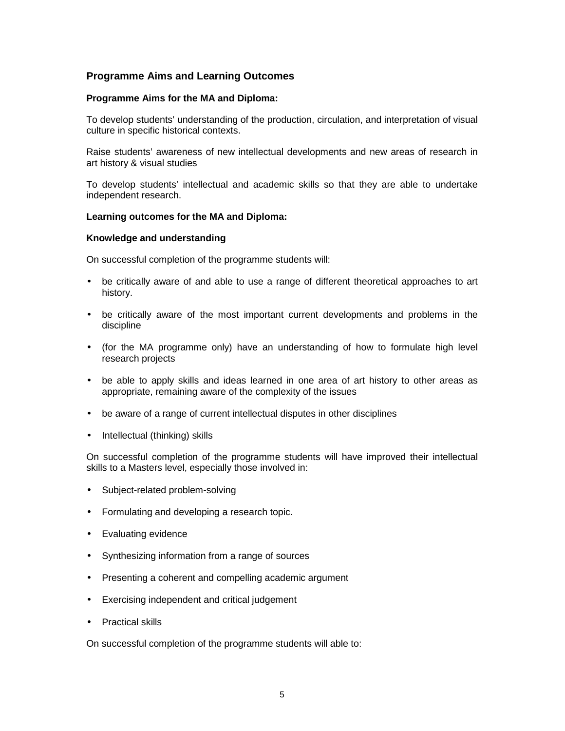# **Programme Aims and Learning Outcomes**

## **Programme Aims for the MA and Diploma:**

To develop students' understanding of the production, circulation, and interpretation of visual culture in specific historical contexts.

Raise students' awareness of new intellectual developments and new areas of research in art history & visual studies

To develop students' intellectual and academic skills so that they are able to undertake independent research.

#### **Learning outcomes for the MA and Diploma:**

#### **Knowledge and understanding**

On successful completion of the programme students will:

- be critically aware of and able to use a range of different theoretical approaches to art history.
- be critically aware of the most important current developments and problems in the discipline
- (for the MA programme only) have an understanding of how to formulate high level research projects
- be able to apply skills and ideas learned in one area of art history to other areas as appropriate, remaining aware of the complexity of the issues
- be aware of a range of current intellectual disputes in other disciplines
- Intellectual (thinking) skills

On successful completion of the programme students will have improved their intellectual skills to a Masters level, especially those involved in:

- Subject-related problem-solving
- Formulating and developing a research topic.
- Evaluating evidence
- Synthesizing information from a range of sources
- Presenting a coherent and compelling academic argument
- Exercising independent and critical judgement
- Practical skills

On successful completion of the programme students will able to: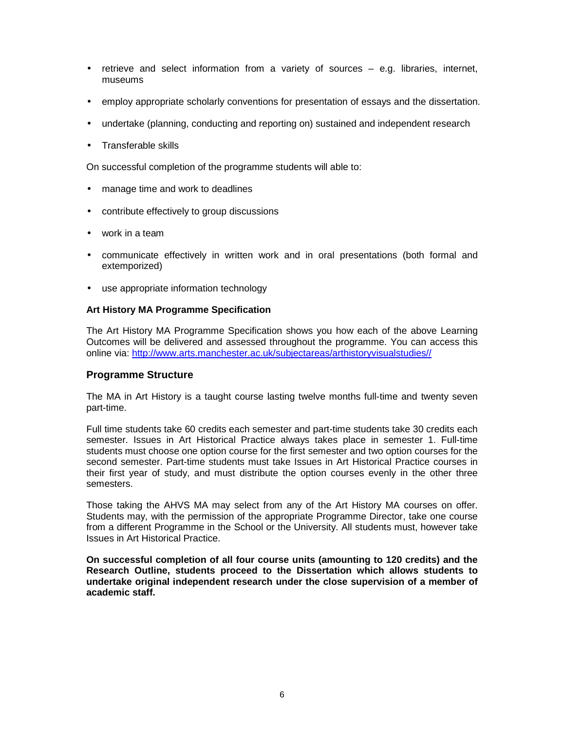- retrieve and select information from a variety of sources e.g. libraries, internet, museums
- employ appropriate scholarly conventions for presentation of essays and the dissertation.
- undertake (planning, conducting and reporting on) sustained and independent research
- Transferable skills

On successful completion of the programme students will able to:

- manage time and work to deadlines
- contribute effectively to group discussions
- work in a team
- communicate effectively in written work and in oral presentations (both formal and extemporized)
- use appropriate information technology

# **Art History MA Programme Specification**

The Art History MA Programme Specification shows you how each of the above Learning Outcomes will be delivered and assessed throughout the programme. You can access this online via: http://www.arts.manchester.ac.uk/subjectareas/arthistoryvisualstudies//

# **Programme Structure**

The MA in Art History is a taught course lasting twelve months full-time and twenty seven part-time.

Full time students take 60 credits each semester and part-time students take 30 credits each semester. Issues in Art Historical Practice always takes place in semester 1. Full-time students must choose one option course for the first semester and two option courses for the second semester. Part-time students must take Issues in Art Historical Practice courses in their first year of study, and must distribute the option courses evenly in the other three semesters.

Those taking the AHVS MA may select from any of the Art History MA courses on offer. Students may, with the permission of the appropriate Programme Director, take one course from a different Programme in the School or the University. All students must, however take Issues in Art Historical Practice.

**On successful completion of all four course units (amounting to 120 credits) and the Research Outline, students proceed to the Dissertation which allows students to undertake original independent research under the close supervision of a member of academic staff.**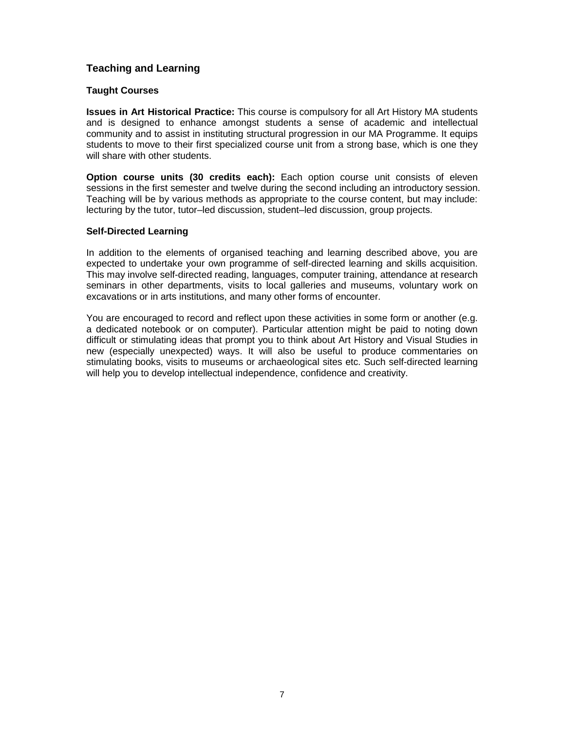# **Teaching and Learning**

# **Taught Courses**

**Issues in Art Historical Practice:** This course is compulsory for all Art History MA students and is designed to enhance amongst students a sense of academic and intellectual community and to assist in instituting structural progression in our MA Programme. It equips students to move to their first specialized course unit from a strong base, which is one they will share with other students.

**Option course units (30 credits each):** Each option course unit consists of eleven sessions in the first semester and twelve during the second including an introductory session. Teaching will be by various methods as appropriate to the course content, but may include: lecturing by the tutor, tutor–led discussion, student–led discussion, group projects.

# **Self-Directed Learning**

In addition to the elements of organised teaching and learning described above, you are expected to undertake your own programme of self-directed learning and skills acquisition. This may involve self-directed reading, languages, computer training, attendance at research seminars in other departments, visits to local galleries and museums, voluntary work on excavations or in arts institutions, and many other forms of encounter.

You are encouraged to record and reflect upon these activities in some form or another (e.g. a dedicated notebook or on computer). Particular attention might be paid to noting down difficult or stimulating ideas that prompt you to think about Art History and Visual Studies in new (especially unexpected) ways. It will also be useful to produce commentaries on stimulating books, visits to museums or archaeological sites etc. Such self-directed learning will help you to develop intellectual independence, confidence and creativity.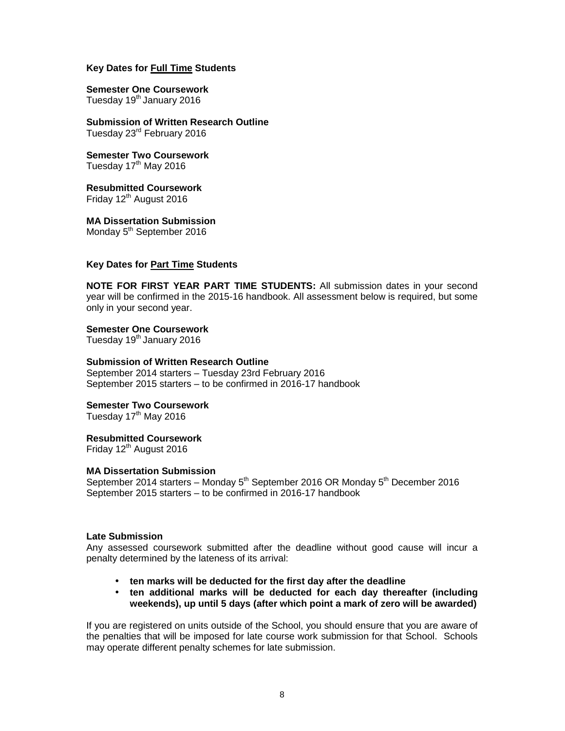# **Key Dates for Full Time Students**

**Semester One Coursework**  Tuesday 19<sup>th</sup> January 2016

**Submission of Written Research Outline**  Tuesday 23rd February 2016

**Semester Two Coursework**  Tuesday 17<sup>th</sup> May 2016

**Resubmitted Coursework**  Friday 12<sup>th</sup> August 2016

**MA Dissertation Submission**  Monday 5<sup>th</sup> September 2016

# **Key Dates for Part Time Students**

**NOTE FOR FIRST YEAR PART TIME STUDENTS:** All submission dates in your second year will be confirmed in the 2015-16 handbook. All assessment below is required, but some only in your second year.

**Semester One Coursework**  Tuesday 19<sup>th</sup> January 2016

# **Submission of Written Research Outline**

September 2014 starters – Tuesday 23rd February 2016 September 2015 starters – to be confirmed in 2016-17 handbook

**Semester Two Coursework** 

Tuesday  $17<sup>th</sup>$  May 2016

## **Resubmitted Coursework**

Friday  $12<sup>th</sup>$  August 2016

# **MA Dissertation Submission**

September 2014 starters – Monday  $5<sup>th</sup>$  September 2016 OR Monday  $5<sup>th</sup>$  December 2016 September 2015 starters – to be confirmed in 2016-17 handbook

## **Late Submission**

Any assessed coursework submitted after the deadline without good cause will incur a penalty determined by the lateness of its arrival:

- **ten marks will be deducted for the first day after the deadline**
- **ten additional marks will be deducted for each day thereafter (including weekends), up until 5 days (after which point a mark of zero will be awarded)**

If you are registered on units outside of the School, you should ensure that you are aware of the penalties that will be imposed for late course work submission for that School. Schools may operate different penalty schemes for late submission.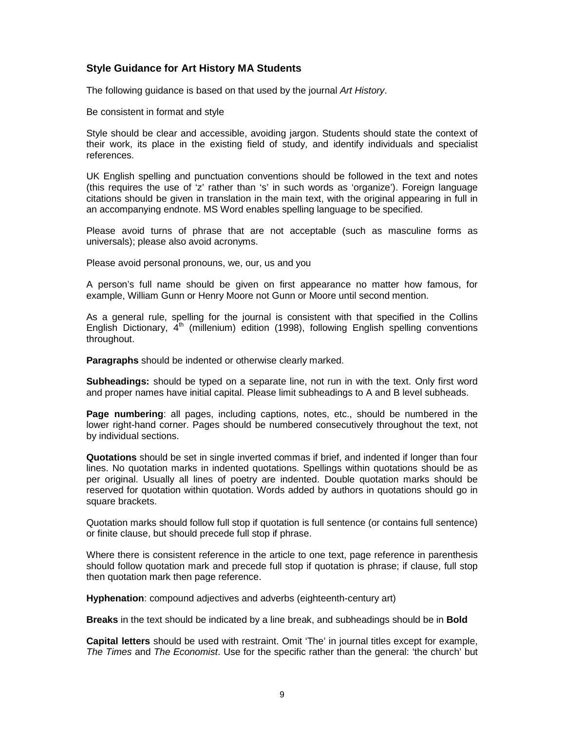# **Style Guidance for Art History MA Students**

The following guidance is based on that used by the journal Art History.

Be consistent in format and style

Style should be clear and accessible, avoiding jargon. Students should state the context of their work, its place in the existing field of study, and identify individuals and specialist references.

UK English spelling and punctuation conventions should be followed in the text and notes (this requires the use of 'z' rather than 's' in such words as 'organize'). Foreign language citations should be given in translation in the main text, with the original appearing in full in an accompanying endnote. MS Word enables spelling language to be specified.

Please avoid turns of phrase that are not acceptable (such as masculine forms as universals); please also avoid acronyms.

Please avoid personal pronouns, we, our, us and you

A person's full name should be given on first appearance no matter how famous, for example, William Gunn or Henry Moore not Gunn or Moore until second mention.

As a general rule, spelling for the journal is consistent with that specified in the Collins English Dictionary,  $4<sup>th</sup>$  (millenium) edition (1998), following English spelling conventions throughout.

**Paragraphs** should be indented or otherwise clearly marked.

**Subheadings:** should be typed on a separate line, not run in with the text. Only first word and proper names have initial capital. Please limit subheadings to A and B level subheads.

**Page numbering**: all pages, including captions, notes, etc., should be numbered in the lower right-hand corner. Pages should be numbered consecutively throughout the text, not by individual sections.

**Quotations** should be set in single inverted commas if brief, and indented if longer than four lines. No quotation marks in indented quotations. Spellings within quotations should be as per original. Usually all lines of poetry are indented. Double quotation marks should be reserved for quotation within quotation. Words added by authors in quotations should go in square brackets.

Quotation marks should follow full stop if quotation is full sentence (or contains full sentence) or finite clause, but should precede full stop if phrase.

Where there is consistent reference in the article to one text, page reference in parenthesis should follow quotation mark and precede full stop if quotation is phrase; if clause, full stop then quotation mark then page reference.

**Hyphenation**: compound adjectives and adverbs (eighteenth-century art)

**Breaks** in the text should be indicated by a line break, and subheadings should be in **Bold**

**Capital letters** should be used with restraint. Omit 'The' in journal titles except for example, The Times and The Economist. Use for the specific rather than the general: 'the church' but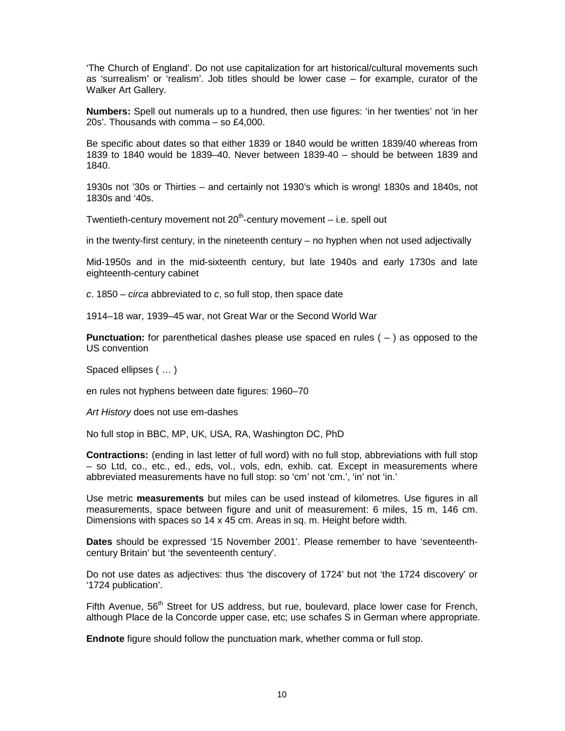'The Church of England'. Do not use capitalization for art historical/cultural movements such as 'surrealism' or 'realism'. Job titles should be lower case – for example, curator of the Walker Art Gallery.

**Numbers:** Spell out numerals up to a hundred, then use figures: 'in her twenties' not 'in her 20s'. Thousands with comma – so £4,000.

Be specific about dates so that either 1839 or 1840 would be written 1839/40 whereas from 1839 to 1840 would be 1839–40. Never between 1839-40 – should be between 1839 and 1840.

1930s not '30s or Thirties – and certainly not 1930's which is wrong! 1830s and 1840s, not 1830s and '40s.

Twentieth-century movement not  $20<sup>th</sup>$ -century movement – i.e. spell out

in the twenty-first century, in the nineteenth century – no hyphen when not used adjectivally

Mid-1950s and in the mid-sixteenth century, but late 1940s and early 1730s and late eighteenth-century cabinet

 $c. 1850$  – *circa* abbreviated to  $c$ , so full stop, then space date

1914–18 war, 1939–45 war, not Great War or the Second World War

**Punctuation:** for parenthetical dashes please use spaced en rules ( – ) as opposed to the US convention

Spaced ellipses ( … )

en rules not hyphens between date figures: 1960–70

Art History does not use em-dashes

No full stop in BBC, MP, UK, USA, RA, Washington DC, PhD

**Contractions:** (ending in last letter of full word) with no full stop, abbreviations with full stop – so Ltd, co., etc., ed., eds, vol., vols, edn, exhib. cat. Except in measurements where abbreviated measurements have no full stop: so 'cm' not 'cm.', 'in' not 'in.'

Use metric **measurements** but miles can be used instead of kilometres. Use figures in all measurements, space between figure and unit of measurement: 6 miles, 15 m, 146 cm. Dimensions with spaces so 14 x 45 cm. Areas in sq. m. Height before width.

**Dates** should be expressed '15 November 2001'. Please remember to have 'seventeenthcentury Britain' but 'the seventeenth century'.

Do not use dates as adjectives: thus 'the discovery of 1724' but not 'the 1724 discovery' or '1724 publication'.

Fifth Avenue, 56<sup>th</sup> Street for US address, but rue, boulevard, place lower case for French, although Place de la Concorde upper case, etc; use schafes S in German where appropriate.

**Endnote** figure should follow the punctuation mark, whether comma or full stop.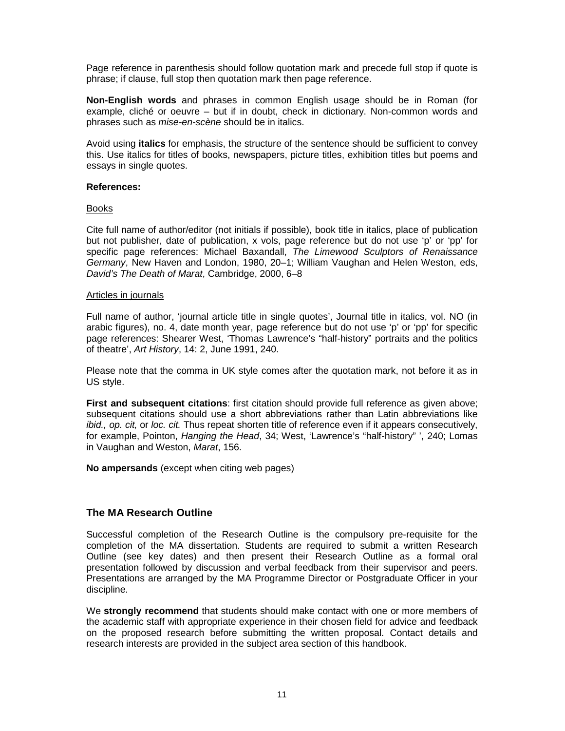Page reference in parenthesis should follow quotation mark and precede full stop if quote is phrase; if clause, full stop then quotation mark then page reference.

**Non-English words** and phrases in common English usage should be in Roman (for example, cliché or oeuvre – but if in doubt, check in dictionary. Non-common words and phrases such as *mise-en-scène* should be in italics.

Avoid using **italics** for emphasis, the structure of the sentence should be sufficient to convey this. Use italics for titles of books, newspapers, picture titles, exhibition titles but poems and essays in single quotes.

#### **References:**

#### Books

Cite full name of author/editor (not initials if possible), book title in italics, place of publication but not publisher, date of publication, x vols, page reference but do not use 'p' or 'pp' for specific page references: Michael Baxandall, The Limewood Sculptors of Renaissance Germany, New Haven and London, 1980, 20–1; William Vaughan and Helen Weston, eds, David's The Death of Marat, Cambridge, 2000, 6–8

#### Articles in journals

Full name of author, 'journal article title in single quotes', Journal title in italics, vol. NO (in arabic figures), no. 4, date month year, page reference but do not use 'p' or 'pp' for specific page references: Shearer West, 'Thomas Lawrence's "half-history" portraits and the politics of theatre', Art History, 14: 2, June 1991, 240.

Please note that the comma in UK style comes after the quotation mark, not before it as in US style.

**First and subsequent citations**: first citation should provide full reference as given above; subsequent citations should use a short abbreviations rather than Latin abbreviations like ibid., op. cit, or loc. cit. Thus repeat shorten title of reference even if it appears consecutively, for example, Pointon, Hanging the Head, 34; West, 'Lawrence's "half-history" ', 240; Lomas in Vaughan and Weston, Marat, 156.

**No ampersands** (except when citing web pages)

# **The MA Research Outline**

Successful completion of the Research Outline is the compulsory pre-requisite for the completion of the MA dissertation. Students are required to submit a written Research Outline (see key dates) and then present their Research Outline as a formal oral presentation followed by discussion and verbal feedback from their supervisor and peers. Presentations are arranged by the MA Programme Director or Postgraduate Officer in your discipline.

We **strongly recommend** that students should make contact with one or more members of the academic staff with appropriate experience in their chosen field for advice and feedback on the proposed research before submitting the written proposal. Contact details and research interests are provided in the subject area section of this handbook.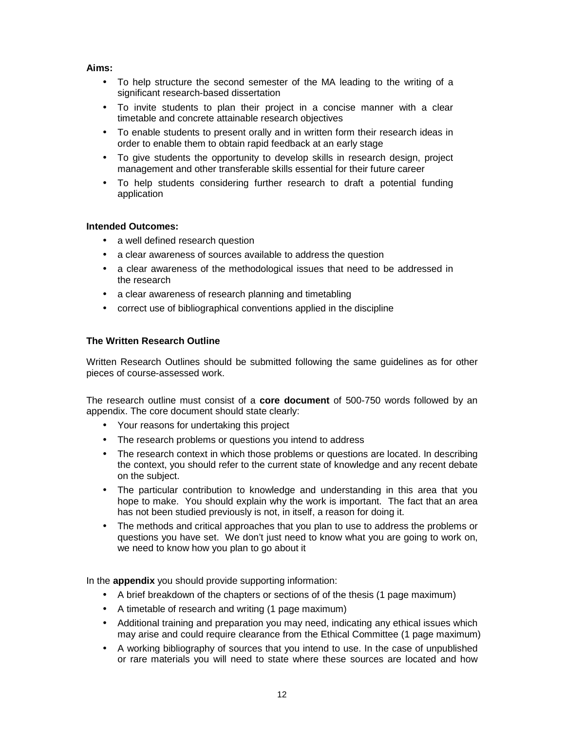# **Aims:**

- To help structure the second semester of the MA leading to the writing of a significant research-based dissertation
- To invite students to plan their project in a concise manner with a clear timetable and concrete attainable research objectives
- To enable students to present orally and in written form their research ideas in order to enable them to obtain rapid feedback at an early stage
- To give students the opportunity to develop skills in research design, project management and other transferable skills essential for their future career
- To help students considering further research to draft a potential funding application

# **Intended Outcomes:**

- a well defined research question
- a clear awareness of sources available to address the question
- a clear awareness of the methodological issues that need to be addressed in the research
- a clear awareness of research planning and timetabling
- correct use of bibliographical conventions applied in the discipline

# **The Written Research Outline**

Written Research Outlines should be submitted following the same guidelines as for other pieces of course-assessed work.

The research outline must consist of a **core document** of 500-750 words followed by an appendix. The core document should state clearly:

- Your reasons for undertaking this project
- The research problems or questions you intend to address
- The research context in which those problems or questions are located. In describing the context, you should refer to the current state of knowledge and any recent debate on the subject.
- The particular contribution to knowledge and understanding in this area that you hope to make. You should explain why the work is important. The fact that an area has not been studied previously is not, in itself, a reason for doing it.
- The methods and critical approaches that you plan to use to address the problems or questions you have set. We don't just need to know what you are going to work on, we need to know how you plan to go about it

In the **appendix** you should provide supporting information:

- A brief breakdown of the chapters or sections of of the thesis (1 page maximum)
- A timetable of research and writing (1 page maximum)
- Additional training and preparation you may need, indicating any ethical issues which may arise and could require clearance from the Ethical Committee (1 page maximum)
- A working bibliography of sources that you intend to use. In the case of unpublished or rare materials you will need to state where these sources are located and how